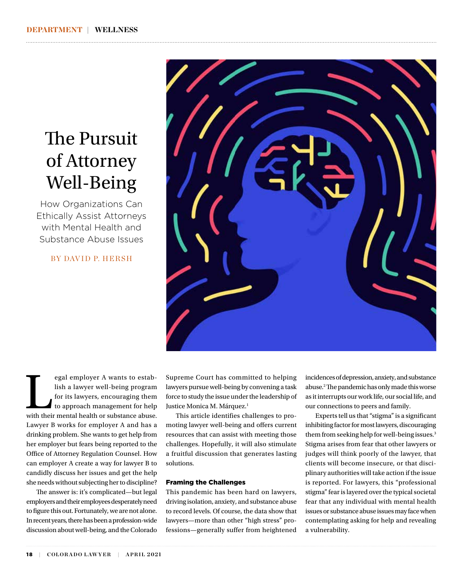# The Pursuit of Attorney Well-Being

How Organizations Can Ethically Assist Attorneys with Mental Health and Substance Abuse Issues

BY DAVID P. HERSH



egal employer A wants to estab-<br>lish a lawyer well-being program<br>for its lawyers, encouraging them<br>to approach management for help<br>with their mental health or substance abuse. lish a lawyer well-being program for its lawyers, encouraging them to approach management for help Lawyer B works for employer A and has a drinking problem. She wants to get help from her employer but fears being reported to the Office of Attorney Regulation Counsel. How can employer A create a way for lawyer B to candidly discuss her issues and get the help she needs without subjecting her to discipline?

The answer is: it's complicated—but legal employers and their employees desperately need to figure this out. Fortunately, we are not alone. In recent years, there has been a profession-wide discussion about well-being, and the Colorado

Supreme Court has committed to helping lawyers pursue well-being by convening a task force to study the issue under the leadership of Justice Monica M. Márquez.<sup>1</sup>

This article identifies challenges to promoting lawyer well-being and offers current resources that can assist with meeting those challenges. Hopefully, it will also stimulate a fruitful discussion that generates lasting solutions.

#### Framing the Challenges

This pandemic has been hard on lawyers, driving isolation, anxiety, and substance abuse to record levels. Of course, the data show that lawyers—more than other "high stress" professions—generally suffer from heightened incidences of depression, anxiety, and substance abuse.2 The pandemic has only made this worse as it interrupts our work life, our social life, and our connections to peers and family.

Experts tell us that "stigma" is a significant inhibiting factor for most lawyers, discouraging them from seeking help for well-being issues.<sup>3</sup> Stigma arises from fear that other lawyers or judges will think poorly of the lawyer, that clients will become insecure, or that disciplinary authorities will take action if the issue is reported. For lawyers, this "professional stigma" fear is layered over the typical societal fear that any individual with mental health issues or substance abuse issues may face when contemplating asking for help and revealing a vulnerability.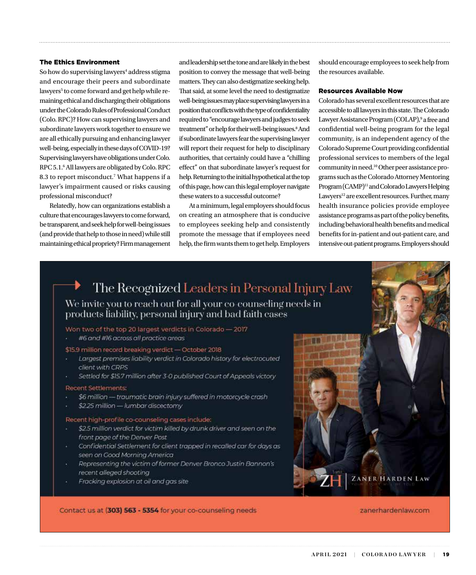#### The Ethics Environment

So how do supervising lawyers<sup>4</sup> address stigma and encourage their peers and subordinate lawyers<sup>5</sup> to come forward and get help while remaining ethical and discharging their obligations under the Colorado Rules of Professional Conduct (Colo. RPC)? How can supervising lawyers and subordinate lawyers work together to ensure we are all ethically pursuing and enhancing lawyer well-being, especially in these days of COVID-19? Supervising lawyers have obligations under Colo. RPC 5.1.6 All lawyers are obligated by Colo. RPC 8.3 to report misconduct.<sup>7</sup> What happens if a lawyer's impairment caused or risks causing professional misconduct?

Relatedly, how can organizations establish a culture that encourages lawyers to come forward, be transparent, and seek help for well-being issues (and provide that help to those in need) while still maintaining ethical propriety? Firm management and leadership set the tone and are likely in the best position to convey the message that well-being matters. They can also destigmatize seeking help. That said, at some level the need to destigmatize well-being issues may place supervising lawyers in a position that conflicts with the type of confidentiality required to "encourage lawyers and judges to seek treatment" or help for their well-being issues.<sup>8</sup> And if subordinate lawyers fear the supervising lawyer will report their request for help to disciplinary authorities, that certainly could have a "chilling effect" on that subordinate lawyer's request for help. Returning to the initial hypothetical at the top of this page, how can this legal employer navigate these waters to a successful outcome?

At a minimum, legal employers should focus on creating an atmosphere that is conducive to employees seeking help and consistently promote the message that if employees need help, the firm wants them to get help. Employers should encourage employees to seek help from the resources available.

#### Resources Available Now

Colorado has several excellent resources that are accessible to all lawyers in this state. The Colorado Lawyer Assistance Program (COLAP),<sup>9</sup> a free and confidential well-being program for the legal community, is an independent agency of the Colorado Supreme Court providing confidential professional services to members of the legal community in need.10 Other peer assistance programs such as the Colorado Attorney Mentoring Program (CAMP)<sup>11</sup> and Colorado Lawyers Helping Lawyers<sup>12</sup> are excellent resources. Further, many health insurance policies provide employee assistance programs as part of the policy benefits, including behavioral health benefits and medical benefits for in-patient and out-patient care, and intensive out-patient programs. Employers should

The Recognized Leaders in Personal Injury Law

We invite you to reach out for all your co-counseling needs in products liability, personal injury and bad faith cases

Won two of the top 20 largest verdicts in Colorado - 2017

#6 and #16 across all practice areas

\$15.9 million record breaking verdict - October 2018

- Largest premises liability verdict in Colorado history for electrocuted client with CRPS
- Settled for \$15.7 million after 3-0 published Court of Appeals victory

#### **Recent Settlements:**

- \$6 million traumatic brain injury suffered in motorcycle crash
- \$2.25 million lumbar discectomy

#### Recent high-profile co-counseling cases include:

- \$2.5 million verdict for victim killed by drunk driver and seen on the front page of the Denver Post
- Confidential Settlement for client trapped in recalled car for days as seen on Good Morning America
- Representing the victim of former Denver Bronco Justin Bannon's recent alleged shooting

Contact us at (303) 563 - 5354 for your co-counseling needs

Fracking explosion at oil and gas site

zanerhardenlaw.com

ZANER HARDEN LAW